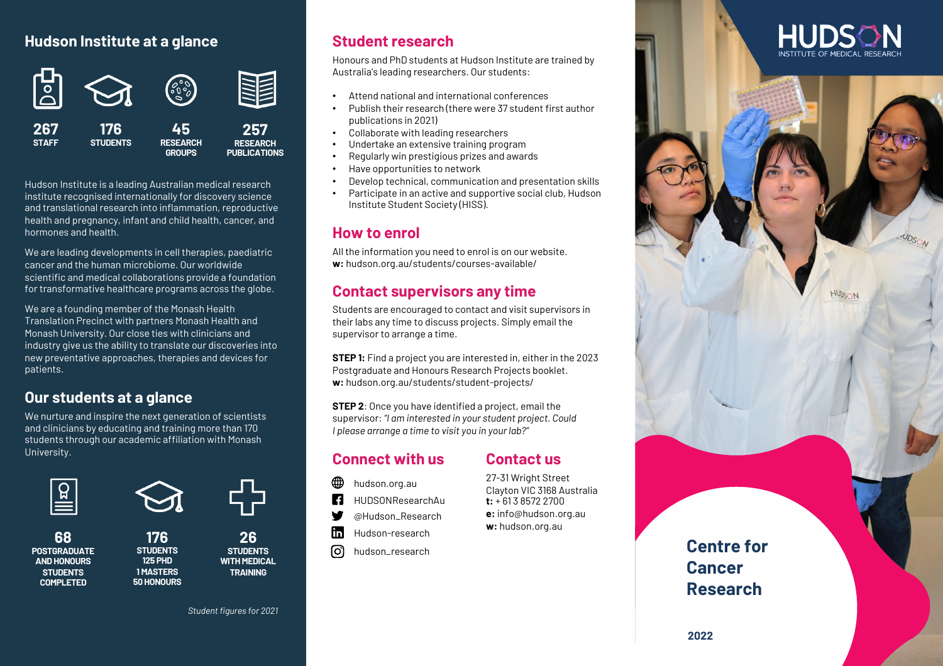### **Hudson Institute at a glance**



Hudson Institute is a leading Australian medical research institute recognised internationally for discovery science and translational research into inflammation, reproductive health and pregnancy, infant and child health, cancer, and hormones and health.

We are leading developments in cell therapies, paediatric cancer and the human microbiome. Our worldwide scientific and medical collaborations provide a foundation for transformative healthcare programs across the globe.

We are a founding member of the Monash Health Translation Precinct with partners Monash Health and Monash University. Our close ties with clinicians and industry give us the ability to translate our discoveries into new preventative approaches, therapies and devices for patients.

### **Our students at a glance**

We nurture and inspire the next generation of scientists and clinicians by educating and training more than 170 students through our academic affiliation with Monash University.



**68**



**176 STUDENTS 125 PHD 1 MASTERS**

**50 HONOURS**

**26 STUDENTS WITH MEDICAL TRAINING**

## **Student research**

Honours and PhD students at Hudson Institute are trained by Australia's leading researchers. Our students:

- Attend national and international conferences
- Publish their research (there were 37 student first author publications in 2021)
- Collaborate with leading researchers
- Undertake an extensive training program
- Regularly win prestigious prizes and awards
- Have opportunities to network
- Develop technical, communication and presentation skills
- Participate in an active and supportive social club, Hudson Institute Student Society (HISS).

## **How to enrol**

All the information you need to enrol is on our website. **w:** hudson.org.au/students/courses-available/

## **Contact supervisors any time**

Students are encouraged to contact and visit supervisors in their labs any time to discuss projects. Simply email the supervisor to arrange a time.

**STEP 1:** Find a project you are interested in, either in the 2023 Postgraduate and Honours Research Projects booklet. w: hudson.org.au/students/student-projects/

**STEP 2**: Once you have identified a project, email the supervisor: *"I am interested in your student project. Could I please arrange a time to visit you in your lab?"*

# **Connect with us**

#### **Contact us** 27-31 Wright Street

Clayton VIC 3168 Australia **t:** + 61 3 8572 2700 **e:** info@hudson.org.au **w:** hudson.org.au

- hudson.org.au
- **LF** HUDSONResearchAu
- W @Hudson\_Research
- m Hudson-research
- ତା hudson\_research

**Centre for Cancer Research**



# **2022**

*Student figures for 2021*